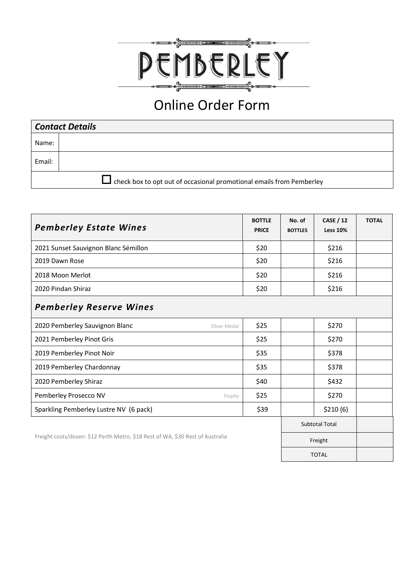

## Online Order Form

| <b>Contact Details</b> |                                                                      |  |  |  |
|------------------------|----------------------------------------------------------------------|--|--|--|
| Name:                  |                                                                      |  |  |  |
| Email:                 |                                                                      |  |  |  |
|                        | check box to opt out of occasional promotional emails from Pemberley |  |  |  |

| <b>Pemberley Estate Wines</b>                                                  |      | No. of<br><b>BOTTLES</b> | <b>CASE / 12</b><br><b>Less 10%</b> | <b>TOTAL</b> |  |
|--------------------------------------------------------------------------------|------|--------------------------|-------------------------------------|--------------|--|
| 2021 Sunset Sauvignon Blanc Sémillon                                           |      |                          | \$216                               |              |  |
| 2019 Dawn Rose                                                                 |      |                          | \$216                               |              |  |
| 2018 Moon Merlot                                                               |      |                          | \$216                               |              |  |
| 2020 Pindan Shiraz                                                             |      |                          | \$216                               |              |  |
| <b>Pemberley Reserve Wines</b>                                                 |      |                          |                                     |              |  |
| 2020 Pemberley Sauvignon Blanc<br>Silver Medal                                 | \$25 |                          | \$270                               |              |  |
| 2021 Pemberley Pinot Gris                                                      |      |                          | \$270                               |              |  |
| 2019 Pemberley Pinot Noir                                                      |      |                          | \$378                               |              |  |
| 2019 Pemberley Chardonnay                                                      |      |                          | \$378                               |              |  |
| 2020 Pemberley Shiraz                                                          |      |                          | \$432                               |              |  |
| Pemberley Prosecco NV<br>Trophy                                                |      |                          | \$270                               |              |  |
| Sparkling Pemberley Lustre NV (6 pack)                                         |      |                          | \$210(6)                            |              |  |
|                                                                                |      |                          | <b>Subtotal Total</b>               |              |  |
| Freight costs/dozen: \$12 Perth Metro, \$18 Rest of WA, \$30 Rest of Australia |      |                          | Freight                             |              |  |
|                                                                                |      |                          | <b>TOTAL</b>                        |              |  |